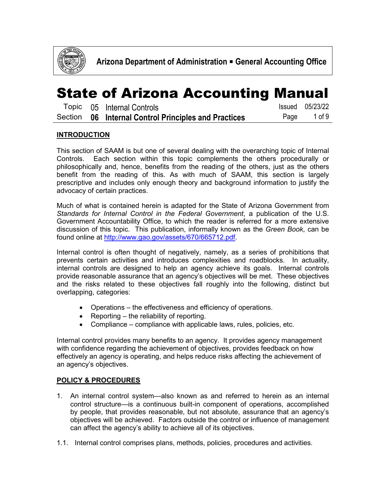

|  | Topic 05 Internal Controls                           | Issued 05/23/22 |
|--|------------------------------------------------------|-----------------|
|  | Section 06 Internal Control Principles and Practices | Page 1 of 9     |

#### **INTRODUCTION**

This section of SAAM is but one of several dealing with the overarching topic of Internal Controls. Each section within this topic complements the others procedurally or philosophically and, hence, benefits from the reading of the others, just as the others benefit from the reading of this. As with much of SAAM, this section is largely prescriptive and includes only enough theory and background information to justify the advocacy of certain practices.

Much of what is contained herein is adapted for the State of Arizona Government from *Standards for Internal Control in the Federal Government*, a publication of the U.S. Government Accountability Office, to which the reader is referred for a more extensive discussion of this topic. This publication, informally known as the *Green Book*, can be found online at [http://www.gao.gov/assets/670/665712.pdf.](http://www.gao.gov/assets/670/665712.pdf)

Internal control is often thought of negatively, namely, as a series of prohibitions that prevents certain activities and introduces complexities and roadblocks. In actuality, internal controls are designed to help an agency achieve its goals. Internal controls provide reasonable assurance that an agency's objectives will be met. These objectives and the risks related to these objectives fall roughly into the following, distinct but overlapping, categories:

- Operations the effectiveness and efficiency of operations.
- Reporting the reliability of reporting.
- Compliance compliance with applicable laws, rules, policies, etc.

Internal control provides many benefits to an agency. It provides agency management with confidence regarding the achievement of objectives, provides feedback on how effectively an agency is operating, and helps reduce risks affecting the achievement of an agency's objectives.

#### **POLICY & PROCEDURES**

- 1. An internal control system—also known as and referred to herein as an internal control structure—is a continuous built-in component of operations, accomplished by people, that provides reasonable, but not absolute, assurance that an agency's objectives will be achieved. Factors outside the control or influence of management can affect the agency's ability to achieve all of its objectives.
- 1.1. Internal control comprises plans, methods, policies, procedures and activities.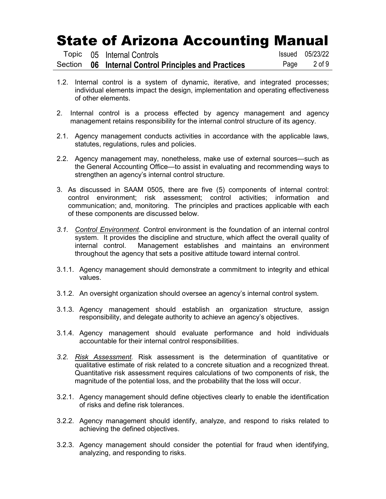|  | Topic 05 Internal Controls                           | Issued 05/23/22 |
|--|------------------------------------------------------|-----------------|
|  | Section 06 Internal Control Principles and Practices | Page 2 of 9     |

- 1.2. Internal control is a system of dynamic, iterative, and integrated processes; individual elements impact the design, implementation and operating effectiveness of other elements.
- 2. Internal control is a process effected by agency management and agency management retains responsibility for the internal control structure of its agency.
- 2.1. Agency management conducts activities in accordance with the applicable laws, statutes, regulations, rules and policies.
- 2.2. Agency management may, nonetheless, make use of external sources—such as the General Accounting Office—to assist in evaluating and recommending ways to strengthen an agency's internal control structure.
- 3. As discussed in SAAM 0505, there are five (5) components of internal control: control environment; risk assessment; control activities; information and communication; and, monitoring. The principles and practices applicable with each of these components are discussed below.
- *3.1. Control Environment.* Control environment is the foundation of an internal control system. It provides the discipline and structure, which affect the overall quality of internal control. Management establishes and maintains an environment throughout the agency that sets a positive attitude toward internal control.
- 3.1.1. Agency management should demonstrate a commitment to integrity and ethical values.
- 3.1.2. An oversight organization should oversee an agency's internal control system.
- 3.1.3. Agency management should establish an organization structure, assign responsibility, and delegate authority to achieve an agency's objectives.
- 3.1.4. Agency management should evaluate performance and hold individuals accountable for their internal control responsibilities.
- *3.2. Risk Assessment.* Risk assessment is the determination of [quantitative](https://en.wikipedia.org/wiki/Quantitative_property) or [qualitative](https://en.wikipedia.org/wiki/Qualitative_data) estimate of risk related to a concrete situation and a recognized [threat.](https://en.wikipedia.org/wiki/Threat) Quantitative risk assessment requires calculations of two components of [risk,](https://en.wikipedia.org/wiki/Risk) the magnitude of the potential loss, and the probability that the loss will occur.
- 3.2.1. Agency management should define objectives clearly to enable the identification of risks and define risk tolerances.
- 3.2.2. Agency management should identify, analyze, and respond to risks related to achieving the defined objectives.
- 3.2.3. Agency management should consider the potential for fraud when identifying, analyzing, and responding to risks.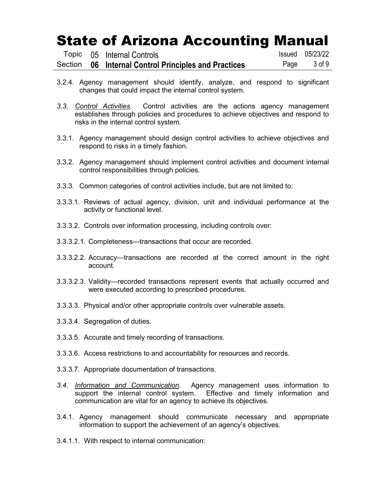|  | Topic 05 Internal Controls                           | <b>Issued</b> 05/23/22 |
|--|------------------------------------------------------|------------------------|
|  | Section 06 Internal Control Principles and Practices | Page 3 of 9            |

- 3.2.4. Agency management should identify, analyze, and respond to significant changes that could impact the internal control system.
- *3.3. Control Activities.* Control activities are the actions agency management establishes through policies and procedures to achieve objectives and respond to risks in the internal control system.
- 3.3.1. Agency management should design control activities to achieve objectives and respond to risks in a timely fashion.
- 3.3.2. Agency management should implement control activities and document internal control responsibilities through policies.
- 3.3.3. Common categories of control activities include, but are not limited to:
- 3.3.3.1. Reviews of actual agency, division, unit and individual performance at the activity or functional level.
- 3.3.3.2. Controls over information processing, including controls over:
- 3.3.3.2.1. Completeness—transactions that occur are recorded.
- 3.3.3.2.2. Accuracy—transactions are recorded at the correct amount in the right account.
- 3.3.3.2.3. Validity—recorded transactions represent events that actually occurred and were executed according to prescribed procedures.
- 3.3.3.3. Physical and/or other appropriate controls over vulnerable assets.
- 3.3.3.4. Segregation of duties.
- 3.3.3.5. Accurate and timely recording of transactions.
- 3.3.3.6. Access restrictions to and accountability for resources and records.
- 3.3.3.7. Appropriate documentation of transactions.
- *3.4. Information and Communication.* Agency management uses information to support the internal control system. Effective and timely information and communication are vital for an agency to achieve its objectives.
- 3.4.1. Agency management should communicate necessary and appropriate information to support the achievement of an agency's objectives.
- 3.4.1.1. With respect to internal communication: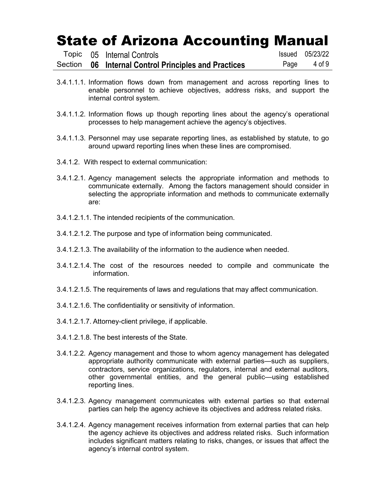|  | Topic 05 Internal Controls                           |      | <b>Issued</b> 05/23/22 |
|--|------------------------------------------------------|------|------------------------|
|  | Section 06 Internal Control Principles and Practices | Page | 4 of 9                 |

- 3.4.1.1.1. Information flows down from management and across reporting lines to enable personnel to achieve objectives, address risks, and support the internal control system.
- 3.4.1.1.2. Information flows up though reporting lines about the agency's operational processes to help management achieve the agency's objectives.
- 3.4.1.1.3. Personnel may use separate reporting lines, as established by statute, to go around upward reporting lines when these lines are compromised.
- 3.4.1.2. With respect to external communication:
- 3.4.1.2.1. Agency management selects the appropriate information and methods to communicate externally. Among the factors management should consider in selecting the appropriate information and methods to communicate externally are:
- 3.4.1.2.1.1. The intended recipients of the communication.
- 3.4.1.2.1.2. The purpose and type of information being communicated.
- 3.4.1.2.1.3. The availability of the information to the audience when needed.
- 3.4.1.2.1.4. The cost of the resources needed to compile and communicate the information.
- 3.4.1.2.1.5. The requirements of laws and regulations that may affect communication.
- 3.4.1.2.1.6. The confidentiality or sensitivity of information.
- 3.4.1.2.1.7. Attorney-client privilege, if applicable.
- 3.4.1.2.1.8. The best interests of the State.
- 3.4.1.2.2. Agency management and those to whom agency management has delegated appropriate authority communicate with external parties—such as suppliers, contractors, service organizations, regulators, internal and external auditors, other governmental entities, and the general public—using established reporting lines.
- 3.4.1.2.3. Agency management communicates with external parties so that external parties can help the agency achieve its objectives and address related risks.
- 3.4.1.2.4. Agency management receives information from external parties that can help the agency achieve its objectives and address related risks. Such information includes significant matters relating to risks, changes, or issues that affect the agency's internal control system.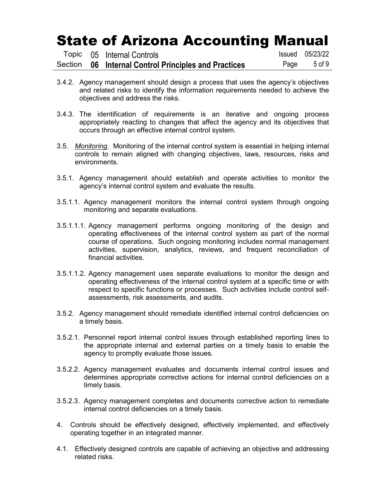|  | Topic 05 Internal Controls                           | <b>Issued</b> 05/23/22 |
|--|------------------------------------------------------|------------------------|
|  | Section 06 Internal Control Principles and Practices | Page 5 of 9            |

- 3.4.2. Agency management should design a process that uses the agency's objectives and related risks to identify the information requirements needed to achieve the objectives and address the risks.
- 3.4.3. The identification of requirements is an iterative and ongoing process appropriately reacting to changes that affect the agency and its objectives that occurs through an effective internal control system.
- 3.5. *Monitoring*. Monitoring of the internal control system is essential in helping internal controls to remain aligned with changing objectives, laws, resources, risks and environments.
- 3.5.1. Agency management should establish and operate activities to monitor the agency's internal control system and evaluate the results.
- 3.5.1.1. Agency management monitors the internal control system through ongoing monitoring and separate evaluations.
- 3.5.1.1.1. Agency management performs ongoing monitoring of the design and operating effectiveness of the internal control system as part of the normal course of operations. Such ongoing monitoring includes normal management activities, supervision, analytics, reviews, and frequent reconciliation of financial activities.
- 3.5.1.1.2. Agency management uses separate evaluations to monitor the design and operating effectiveness of the internal control system at a specific time or with respect to specific functions or processes. Such activities include control selfassessments, risk assessments, and audits.
- 3.5.2. Agency management should remediate identified internal control deficiencies on a timely basis.
- 3.5.2.1. Personnel report internal control issues through established reporting lines to the appropriate internal and external parties on a timely basis to enable the agency to promptly evaluate those issues.
- 3.5.2.2. Agency management evaluates and documents internal control issues and determines appropriate corrective actions for internal control deficiencies on a timely basis.
- 3.5.2.3. Agency management completes and documents corrective action to remediate internal control deficiencies on a timely basis.
- 4. Controls should be effectively designed, effectively implemented, and effectively operating together in an integrated manner.
- 4.1. Effectively designed controls are capable of achieving an objective and addressing related risks.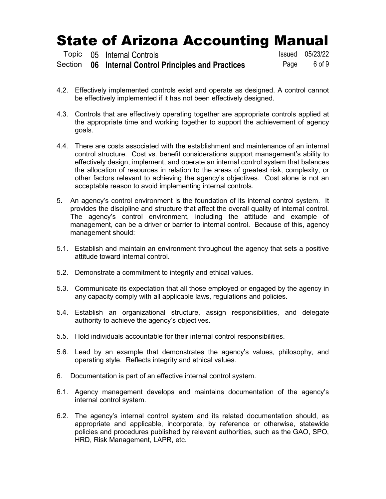|  | Topic 05 Internal Controls                           | Issued 05/23/22 |
|--|------------------------------------------------------|-----------------|
|  | Section 06 Internal Control Principles and Practices | Page 6 of 9     |

- 4.2. Effectively implemented controls exist and operate as designed. A control cannot be effectively implemented if it has not been effectively designed.
- 4.3. Controls that are effectively operating together are appropriate controls applied at the appropriate time and working together to support the achievement of agency goals.
- 4.4. There are costs associated with the establishment and maintenance of an internal control structure. Cost vs. benefit considerations support management's ability to effectively design, implement, and operate an internal control system that balances the allocation of resources in relation to the areas of greatest risk, complexity, or other factors relevant to achieving the agency's objectives. Cost alone is not an acceptable reason to avoid implementing internal controls.
- 5. An agency's control environment is the foundation of its internal control system. It provides the discipline and structure that affect the overall quality of internal control. The agency's control environment, including the attitude and example of management, can be a driver or barrier to internal control. Because of this, agency management should:
- 5.1. Establish and maintain an environment throughout the agency that sets a positive attitude toward internal control.
- 5.2. Demonstrate a commitment to integrity and ethical values.
- 5.3. Communicate its expectation that all those employed or engaged by the agency in any capacity comply with all applicable laws, regulations and policies.
- 5.4. Establish an organizational structure, assign responsibilities, and delegate authority to achieve the agency's objectives.
- 5.5. Hold individuals accountable for their internal control responsibilities.
- 5.6. Lead by an example that demonstrates the agency's values, philosophy, and operating style. Reflects integrity and ethical values.
- 6. Documentation is part of an effective internal control system.
- 6.1. Agency management develops and maintains documentation of the agency's internal control system.
- 6.2. The agency's internal control system and its related documentation should, as appropriate and applicable, incorporate, by reference or otherwise, statewide policies and procedures published by relevant authorities, such as the GAO, SPO, HRD, Risk Management, LAPR, etc.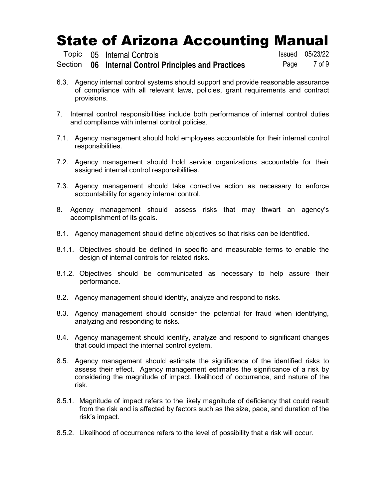|  | Topic 05 Internal Controls                           | <b>Issued</b> 05/23/22 |
|--|------------------------------------------------------|------------------------|
|  | Section 06 Internal Control Principles and Practices | Page 7 of 9            |

- 6.3. Agency internal control systems should support and provide reasonable assurance of compliance with all relevant laws, policies, grant requirements and contract provisions.
- 7. Internal control responsibilities include both performance of internal control duties and compliance with internal control policies.
- 7.1. Agency management should hold employees accountable for their internal control responsibilities.
- 7.2. Agency management should hold service organizations accountable for their assigned internal control responsibilities.
- 7.3. Agency management should take corrective action as necessary to enforce accountability for agency internal control.
- 8. Agency management should assess risks that may thwart an agency's accomplishment of its goals.
- 8.1. Agency management should define objectives so that risks can be identified.
- 8.1.1. Objectives should be defined in specific and measurable terms to enable the design of internal controls for related risks.
- 8.1.2. Objectives should be communicated as necessary to help assure their performance.
- 8.2. Agency management should identify, analyze and respond to risks.
- 8.3. Agency management should consider the potential for fraud when identifying, analyzing and responding to risks.
- 8.4. Agency management should identify, analyze and respond to significant changes that could impact the internal control system.
- 8.5. Agency management should estimate the significance of the identified risks to assess their effect. Agency management estimates the significance of a risk by considering the magnitude of impact, likelihood of occurrence, and nature of the risk.
- 8.5.1. Magnitude of impact refers to the likely magnitude of deficiency that could result from the risk and is affected by factors such as the size, pace, and duration of the risk's impact.
- 8.5.2. Likelihood of occurrence refers to the level of possibility that a risk will occur.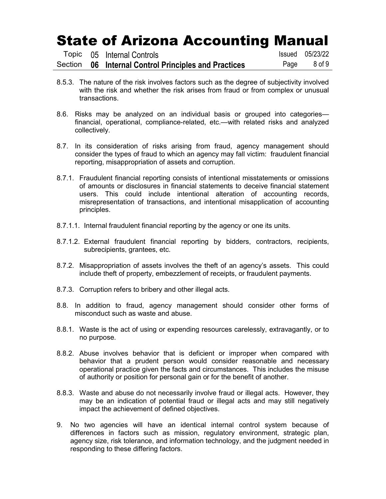|  | Topic 05 Internal Controls                           | <b>Issued</b> 05/23/22 |
|--|------------------------------------------------------|------------------------|
|  | Section 06 Internal Control Principles and Practices | Page 8 of 9            |

- 8.5.3. The nature of the risk involves factors such as the degree of subjectivity involved with the risk and whether the risk arises from fraud or from complex or unusual transactions.
- 8.6. Risks may be analyzed on an individual basis or grouped into categories financial, operational, compliance-related, etc.—with related risks and analyzed collectively.
- 8.7. In its consideration of risks arising from fraud, agency management should consider the types of fraud to which an agency may fall victim: fraudulent financial reporting, misappropriation of assets and corruption.
- 8.7.1. Fraudulent financial reporting consists of intentional misstatements or omissions of amounts or disclosures in financial statements to deceive financial statement users. This could include intentional alteration of accounting records, misrepresentation of transactions, and intentional misapplication of accounting principles.
- 8.7.1.1. Internal fraudulent financial reporting by the agency or one its units.
- 8.7.1.2. External fraudulent financial reporting by bidders, contractors, recipients, subrecipients, grantees, etc.
- 8.7.2. Misappropriation of assets involves the theft of an agency's assets. This could include theft of property, embezzlement of receipts, or fraudulent payments.
- 8.7.3. Corruption refers to bribery and other illegal acts.
- 8.8. In addition to fraud, agency management should consider other forms of misconduct such as waste and abuse.
- 8.8.1. Waste is the act of using or expending resources carelessly, extravagantly, or to no purpose.
- 8.8.2. Abuse involves behavior that is deficient or improper when compared with behavior that a prudent person would consider reasonable and necessary operational practice given the facts and circumstances. This includes the misuse of authority or position for personal gain or for the benefit of another.
- 8.8.3. Waste and abuse do not necessarily involve fraud or illegal acts. However, they may be an indication of potential fraud or illegal acts and may still negatively impact the achievement of defined objectives.
- 9. No two agencies will have an identical internal control system because of differences in factors such as mission, regulatory environment, strategic plan, agency size, risk tolerance, and information technology, and the judgment needed in responding to these differing factors.